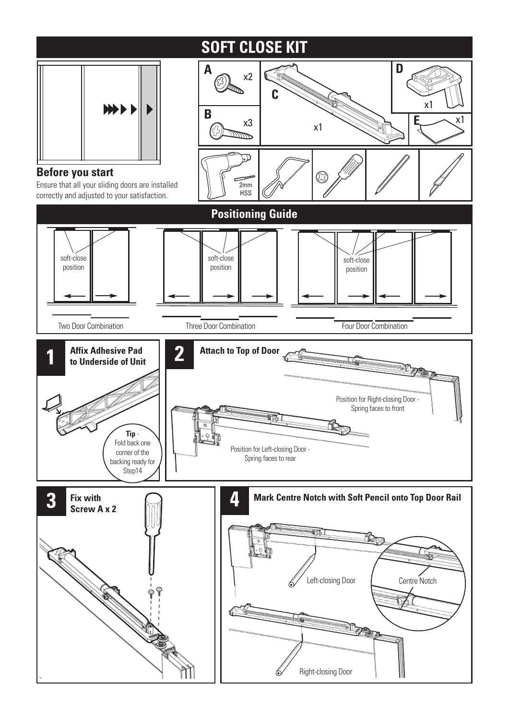## **SOFT CLOSE KIT**

**D**

**A**



## **Before you start**

**3**

Ensure that all your sliding doors are installed correctly and adjusted to your satisfaction.



Right-closing Door

6